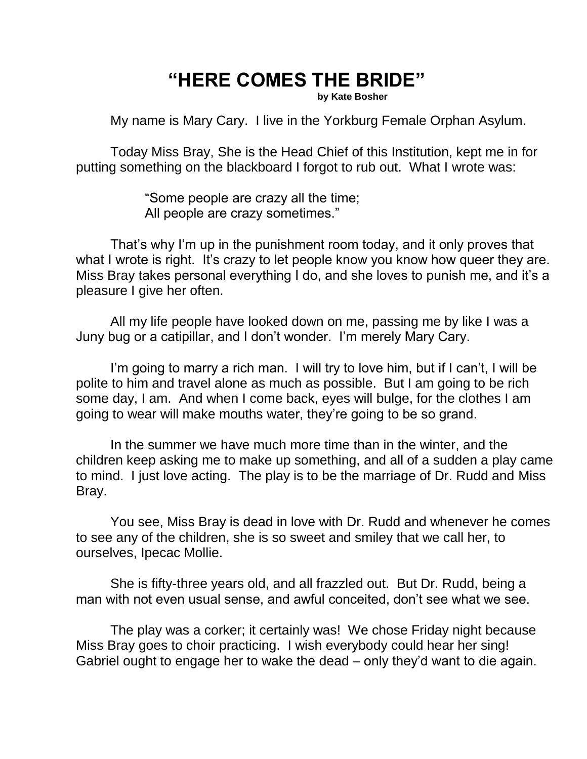## **"HERE COMES THE BRIDE"**

**by Kate Bosher**

My name is Mary Cary. I live in the Yorkburg Female Orphan Asylum.

Today Miss Bray, She is the Head Chief of this Institution, kept me in for putting something on the blackboard I forgot to rub out. What I wrote was:

> "Some people are crazy all the time; All people are crazy sometimes."

That's why I'm up in the punishment room today, and it only proves that what I wrote is right. It's crazy to let people know you know how queer they are. Miss Bray takes personal everything I do, and she loves to punish me, and it's a pleasure I give her often.

All my life people have looked down on me, passing me by like I was a Juny bug or a catipillar, and I don't wonder. I'm merely Mary Cary.

I'm going to marry a rich man. I will try to love him, but if I can't, I will be polite to him and travel alone as much as possible. But I am going to be rich some day, I am. And when I come back, eyes will bulge, for the clothes I am going to wear will make mouths water, they're going to be so grand.

In the summer we have much more time than in the winter, and the children keep asking me to make up something, and all of a sudden a play came to mind. I just love acting. The play is to be the marriage of Dr. Rudd and Miss Bray.

You see, Miss Bray is dead in love with Dr. Rudd and whenever he comes to see any of the children, she is so sweet and smiley that we call her, to ourselves, Ipecac Mollie.

She is fifty-three years old, and all frazzled out. But Dr. Rudd, being a man with not even usual sense, and awful conceited, don't see what we see.

The play was a corker; it certainly was! We chose Friday night because Miss Bray goes to choir practicing. I wish everybody could hear her sing! Gabriel ought to engage her to wake the dead – only they'd want to die again.